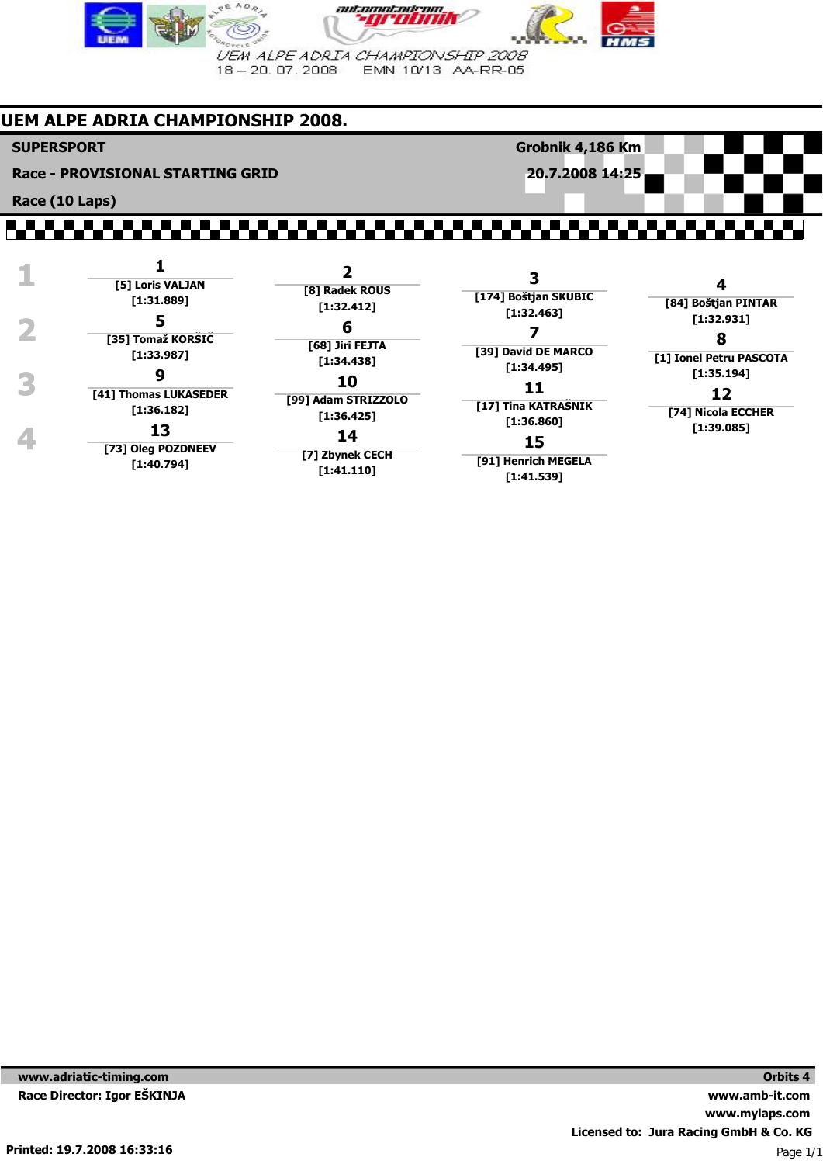

## **UEM ALPE ADRIA CHAMPIONSHIP 2008.**

**SUPERSPORT**

**Race - PROVISIONAL STARTING GRID**

**Race (10 Laps)**

**Grobnik 4,186 Km 20.7.2008 14:25**

#### ,,,,,,,,,,,,,,,,,, ,,,,,,,,,

| [5] Loris VALJAN           |                              |                                    |                                  |
|----------------------------|------------------------------|------------------------------------|----------------------------------|
| [1:31.889]                 | [8] Radek ROUS<br>[1:32.412] | [174] Boštjan SKUBIC<br>[1:32.463] | [84] Boštjan PINTAR              |
| Э<br>[35] Tomaž KORŠIČ     | o<br>[68] Jiri FEJTA         |                                    | [1:32.931]                       |
| [1:33.987]                 | [1:34.438]                   | [39] David DE MARCO<br>[1:34.495]  | [1] Ionel Petru PASCOTA          |
| 9<br>[41] Thomas LUKASEDER | 10<br>[99] Adam STRIZZOLO    |                                    | [1:35.194]<br>12                 |
| [1:36.182]<br>13           | [1:36.425]                   | [17] Tina KATRAŠNIK<br>[1:36.860]  | [74] Nicola ECCHER<br>[1:39.085] |
| [73] Oleg POZDNEEV         | 14<br>[7] Zbynek CECH        | 15                                 |                                  |
| [1:40.794]                 | [1:41.110]                   | [91] Henrich MEGELA<br>[1:41.539]  |                                  |